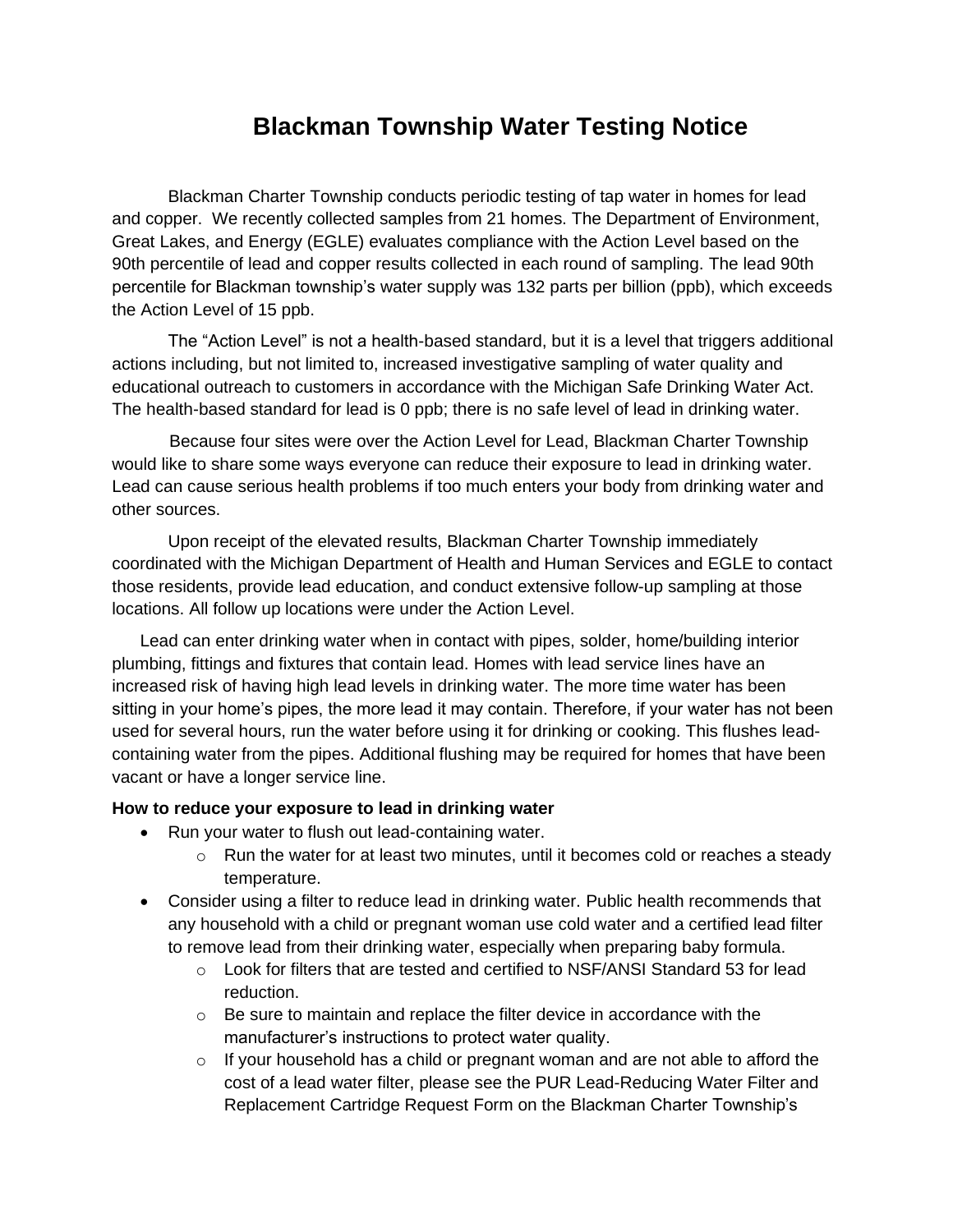## **Blackman Township Water Testing Notice**

Blackman Charter Township conducts periodic testing of tap water in homes for lead and copper. We recently collected samples from 21 homes. The Department of Environment, Great Lakes, and Energy (EGLE) evaluates compliance with the Action Level based on the 90th percentile of lead and copper results collected in each round of sampling. The lead 90th percentile for Blackman township's water supply was 132 parts per billion (ppb), which exceeds the Action Level of 15 ppb.

The "Action Level" is not a health-based standard, but it is a level that triggers additional actions including, but not limited to, increased investigative sampling of water quality and educational outreach to customers in accordance with the Michigan Safe Drinking Water Act. The health-based standard for lead is 0 ppb; there is no safe level of lead in drinking water.

 Because four sites were over the Action Level for Lead, Blackman Charter Township would like to share some ways everyone can reduce their exposure to lead in drinking water. Lead can cause serious health problems if too much enters your body from drinking water and other sources.

Upon receipt of the elevated results, Blackman Charter Township immediately coordinated with the Michigan Department of Health and Human Services and EGLE to contact those residents, provide lead education, and conduct extensive follow-up sampling at those locations. All follow up locations were under the Action Level.

Lead can enter drinking water when in contact with pipes, solder, home/building interior plumbing, fittings and fixtures that contain lead. Homes with lead service lines have an increased risk of having high lead levels in drinking water. The more time water has been sitting in your home's pipes, the more lead it may contain. Therefore, if your water has not been used for several hours, run the water before using it for drinking or cooking. This flushes leadcontaining water from the pipes. Additional flushing may be required for homes that have been vacant or have a longer service line.

## **How to reduce your exposure to lead in drinking water**

- Run your water to flush out lead-containing water.
	- o Run the water for at least two minutes, until it becomes cold or reaches a steady temperature.
- Consider using a filter to reduce lead in drinking water. Public health recommends that any household with a child or pregnant woman use cold water and a certified lead filter to remove lead from their drinking water, especially when preparing baby formula.
	- o Look for filters that are tested and certified to NSF/ANSI Standard 53 for lead reduction.
	- $\circ$  Be sure to maintain and replace the filter device in accordance with the manufacturer's instructions to protect water quality.
	- $\circ$  If your household has a child or pregnant woman and are not able to afford the cost of a lead water filter, please see the PUR Lead-Reducing Water Filter and Replacement Cartridge Request Form on the Blackman Charter Township's